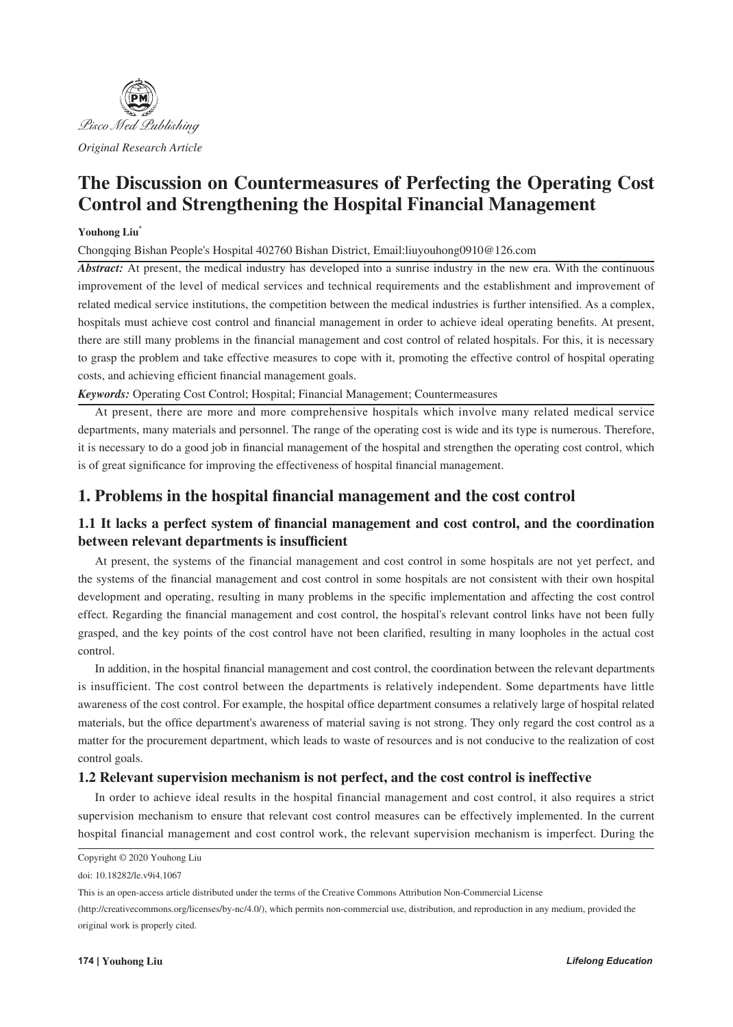

*Original Research Article*

# **The Discussion on Countermeasures of Perfecting the Operating Cost Control and Strengthening the Hospital Financial Management**

#### **Youhong Liu\***

Chongqing Bishan People's Hospital 402760 Bishan District, Email:liuyouhong0910@126.com

*Abstract:* At present, the medical industry has developed into a sunrise industry in the new era. With the continuous improvement of the level of medical services and technical requirements and the establishment and improvement of related medical service institutions, the competition between the medical industries is further intensified. As a complex, hospitals must achieve cost control and financial management in order to achieve ideal operating benefits. At present, there are still many problems in the financial management and cost control of related hospitals. For this, it is necessary to grasp the problem and take effective measures to cope with it, promoting the effective control of hospital operating costs, and achieving efficient financial management goals.

*Keywords:* Operating Cost Control; Hospital; Financial Management; Countermeasures

At present, there are more and more comprehensive hospitals which involve many related medical service departments, many materials and personnel. The range of the operating cost is wide and its type is numerous. Therefore, it is necessary to do a good job in financial management of the hospital and strengthen the operating cost control, which is of great significance for improving the effectiveness of hospital financial management.

# **1. Problems in the hospital financial management and the cost control**

# **1.1 It lacks a perfect system of financial management and cost control, and the coordination between relevant departments is insufficient**

At present, the systems of the financial management and cost control in some hospitals are not yet perfect, and the systems of the financial management and cost control in some hospitals are not consistent with their own hospital development and operating, resulting in many problems in the specific implementation and affecting the cost control effect. Regarding the financial management and cost control, the hospital's relevant control links have not been fully grasped, and the key points of the cost control have not been clarified, resulting in many loopholes in the actual cost control.

In addition, in the hospital financial management and cost control, the coordination between the relevant departments is insufficient. The cost control between the departments is relatively independent. Some departments have little awareness of the cost control. For example, the hospital office department consumes a relatively large of hospital related materials, but the office department's awareness of material saving is not strong. They only regard the cost control as a matter for the procurement department, which leads to waste of resources and is not conducive to the realization of cost control goals.

#### **1.2 Relevant supervision mechanism is not perfect, and the cost control is ineffective**

In order to achieve ideal results in the hospital financial management and cost control, it also requires a strict supervision mechanism to ensure that relevant cost control measures can be effectively implemented. In the current hospital financial management and cost control work, the relevant supervision mechanism is imperfect. During the

Copyright © 2020 Youhong Liu

doi: 10.18282/le.v9i4.1067

This is an open-access article distributed under the terms of the Creative Commons Attribution Non-Commercial License

<sup>(</sup>http://creativecommons.org/licenses/by-nc/4.0/), which permits non-commercial use, distribution, and reproduction in any medium, provided the original work is properly cited.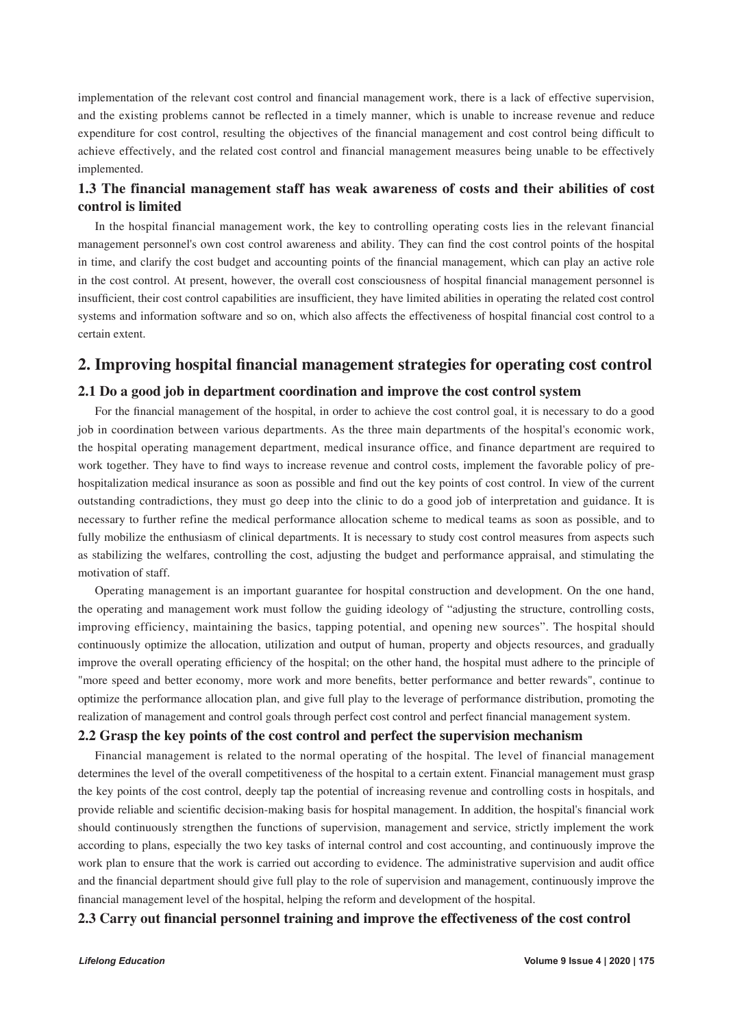implementation of the relevant cost control and financial management work, there is a lack of effective supervision, and the existing problems cannot be reflected in a timely manner, which is unable to increase revenue and reduce expenditure for cost control, resulting the objectives of the financial management and cost control being difficult to achieve effectively, and the related cost control and financial management measures being unable to be effectively implemented.

## **1.3 The financial management staff has weak awareness of costs and their abilities of cost control is limited**

In the hospital financial management work, the key to controlling operating costs lies in the relevant financial management personnel's own cost control awareness and ability. They can find the cost control points of the hospital in time, and clarify the cost budget and accounting points of the financial management, which can play an active role in the cost control. At present, however, the overall cost consciousness of hospital financial management personnel is insufficient, their cost control capabilities are insufficient, they have limited abilities in operating the related cost control systems and information software and so on, which also affects the effectiveness of hospital financial cost control to a certain extent.

## **2. Improving hospital financial management strategies for operating cost control**

### **2.1 Do a good job in department coordination and improve the cost control system**

For the financial management of the hospital, in order to achieve the cost control goal, it is necessary to do a good job in coordination between various departments. As the three main departments of the hospital's economic work, the hospital operating management department, medical insurance office, and finance department are required to work together. They have to find ways to increase revenue and control costs, implement the favorable policy of prehospitalization medical insurance as soon as possible and find out the key points of cost control. In view of the current outstanding contradictions, they must go deep into the clinic to do a good job of interpretation and guidance. It is necessary to further refine the medical performance allocation scheme to medical teams as soon as possible, and to fully mobilize the enthusiasm of clinical departments. It is necessary to study cost control measures from aspects such as stabilizing the welfares, controlling the cost, adjusting the budget and performance appraisal, and stimulating the motivation of staff.

Operating management is an important guarantee for hospital construction and development. On the one hand, the operating and management work must follow the guiding ideology of "adjusting the structure, controlling costs, improving efficiency, maintaining the basics, tapping potential, and opening new sources". The hospital should continuously optimize the allocation, utilization and output of human, property and objects resources, and gradually improve the overall operating efficiency of the hospital; on the other hand, the hospital must adhere to the principle of "more speed and better economy, more work and more benefits, better performance and better rewards", continue to optimize the performance allocation plan, and give full play to the leverage of performance distribution, promoting the realization of management and control goals through perfect cost control and perfect financial management system.

#### **2.2 Grasp the key points of the cost control and perfect the supervision mechanism**

Financial management is related to the normal operating of the hospital. The level of financial management determines the level of the overall competitiveness of the hospital to a certain extent. Financial management must grasp the key points of the cost control, deeply tap the potential of increasing revenue and controlling costs in hospitals, and provide reliable and scientific decision-making basis for hospital management. In addition, the hospital's financial work should continuously strengthen the functions of supervision, management and service, strictly implement the work according to plans, especially the two key tasks of internal control and cost accounting, and continuously improve the work plan to ensure that the work is carried out according to evidence. The administrative supervision and audit office and the financial department should give full play to the role of supervision and management, continuously improve the financial management level of the hospital, helping the reform and development of the hospital.

### **2.3 Carry out financial personnel training and improve the effectiveness of the cost control**